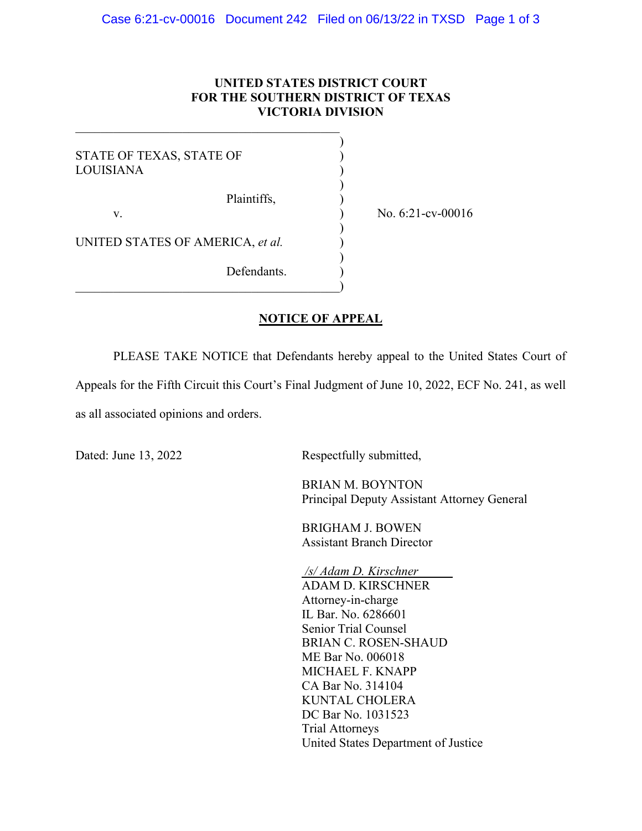## **UNITED STATES DISTRICT COURT FOR THE SOUTHERN DISTRICT OF TEXAS VICTORIA DIVISION**

| STATE OF TEXAS, STATE OF<br>LOUISIANA |  |
|---------------------------------------|--|
| Plaintiffs,<br>V.                     |  |
| UNITED STATES OF AMERICA, et al.      |  |

 $\overline{\mathcal{L}}$  , and the contribution of the contribution of  $\overline{\mathcal{L}}$ 

No. 6:21-cv-00016

 $\hspace{.5em}$   $\hspace{.5em}$   $\hspace{.5em}$   $\hspace{.5em}$   $\hspace{.5em}$   $\hspace{.5em}$   $\hspace{.5em}$   $\hspace{.5em}$   $\hspace{.5em}$   $\hspace{.5em}$   $\hspace{.5em}$   $\hspace{.5em}$   $\hspace{.5em}$   $\hspace{.5em}$   $\hspace{.5em}$   $\hspace{.5em}$   $\hspace{.5em}$   $\hspace{.5em}$   $\hspace{.5em}$   $\hspace{.5em}$ 

Defendants.

## **NOTICE OF APPEAL**

PLEASE TAKE NOTICE that Defendants hereby appeal to the United States Court of

Appeals for the Fifth Circuit this Court's Final Judgment of June 10, 2022, ECF No. 241, as well as all associated opinions and orders.

Dated: June 13, 2022 Respectfully submitted,

 BRIAN M. BOYNTON Principal Deputy Assistant Attorney General

BRIGHAM J. BOWEN Assistant Branch Director

*/s/ Adam D. Kirschner*  ADAM D. KIRSCHNER Attorney-in-charge IL Bar. No. 6286601 Senior Trial Counsel BRIAN C. ROSEN-SHAUD ME Bar No. 006018 MICHAEL F. KNAPP CA Bar No. 314104 KUNTAL CHOLERA DC Bar No. 1031523 Trial Attorneys United States Department of Justice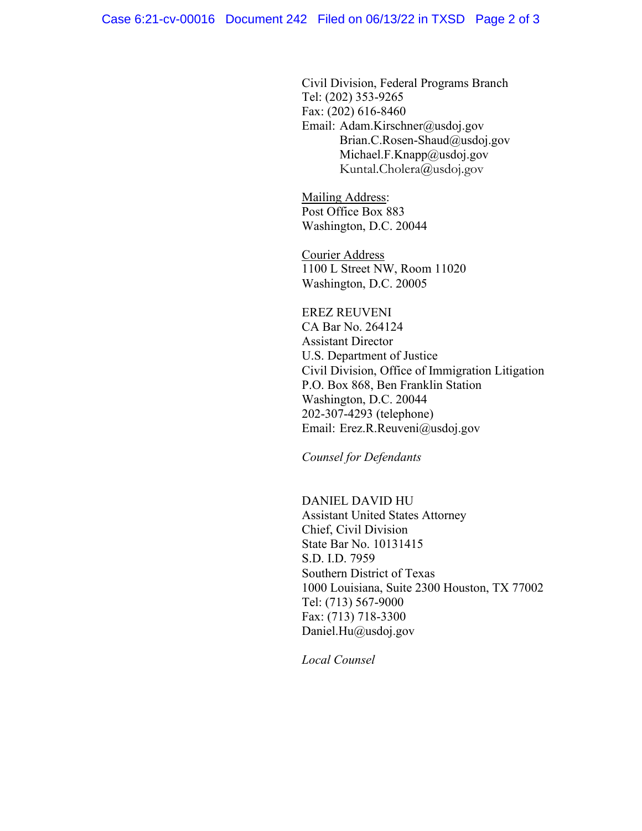Civil Division, Federal Programs Branch Tel: (202) 353-9265 Fax: (202) 616-8460 Email: Adam.Kirschner@usdoj.gov Brian.C.Rosen-Shaud@usdoj.gov Michael.F.Knapp@usdoj.gov Kuntal.Cholera@usdoj.gov

Mailing Address: Post Office Box 883 Washington, D.C. 20044

Courier Address 1100 L Street NW, Room 11020 Washington, D.C. 20005

EREZ REUVENI CA Bar No. 264124 Assistant Director U.S. Department of Justice Civil Division, Office of Immigration Litigation P.O. Box 868, Ben Franklin Station Washington, D.C. 20044 202-307-4293 (telephone) Email: Erez.R.Reuveni@usdoj.gov

*Counsel for Defendants* 

 DANIEL DAVID HU Assistant United States Attorney Chief, Civil Division State Bar No. 10131415 S.D. I.D. 7959 Southern District of Texas 1000 Louisiana, Suite 2300 Houston, TX 77002 Tel: (713) 567-9000 Fax: (713) 718-3300 Daniel.Hu@usdoj.gov

*Local Counsel*